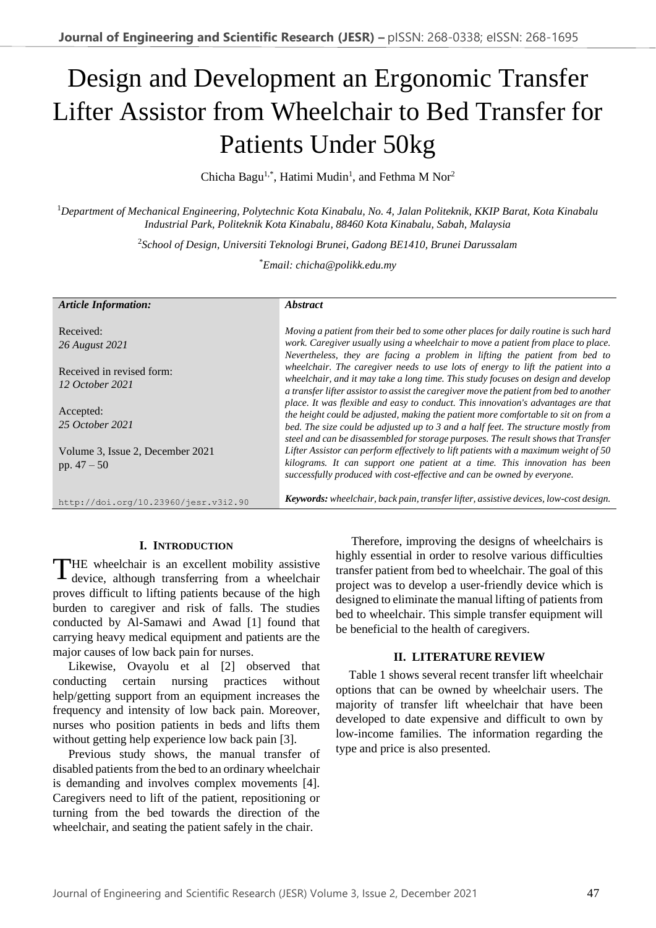# Design and Development an Ergonomic Transfer Lifter Assistor from Wheelchair to Bed Transfer for Patients Under 50kg

Chicha Bagu<sup>1,\*</sup>, Hatimi Mudin<sup>1</sup>, and Fethma M Nor<sup>2</sup>

<sup>1</sup>*Department of Mechanical Engineering, Polytechnic Kota Kinabalu, No. 4, Jalan Politeknik, KKIP Barat, Kota Kinabalu Industrial Park, Politeknik Kota Kinabalu, 88460 Kota Kinabalu, Sabah, Malaysia*

2 *School of Design, Universiti Teknologi Brunei, Gadong BE1410, Brunei Darussalam* 

\**Email: chicha@polikk.edu.my*

| <b>Article Information:</b>                  | <i><b>Abstract</b></i>                                                                                                                                                     |  |
|----------------------------------------------|----------------------------------------------------------------------------------------------------------------------------------------------------------------------------|--|
| Received:                                    | Moving a patient from their bed to some other places for daily routine is such hard                                                                                        |  |
| 26 August 2021                               | work. Caregiver usually using a wheelchair to move a patient from place to place.<br>Nevertheless, they are facing a problem in lifting the patient from bed to            |  |
| Received in revised form:<br>12 October 2021 | wheelchair. The caregiver needs to use lots of energy to lift the patient into a<br>wheelchair, and it may take a long time. This study focuses on design and develop      |  |
|                                              | a transfer lifter assistor to assist the caregiver move the patient from bed to another                                                                                    |  |
| Accepted:                                    | place. It was flexible and easy to conduct. This innovation's advantages are that<br>the height could be adjusted, making the patient more comfortable to sit on from a    |  |
| 25 October 2021                              | bed. The size could be adjusted up to 3 and a half feet. The structure mostly from                                                                                         |  |
| Volume 3, Issue 2, December 2021             | steel and can be disassembled for storage purposes. The result shows that Transfer<br>Lifter Assistor can perform effectively to lift patients with a maximum weight of 50 |  |
| pp. $47 - 50$                                | kilograms. It can support one patient at a time. This innovation has been<br>successfully produced with cost-effective and can be owned by everyone.                       |  |
| http://doi.org/10.23960/jesr.v3i2.90         | Keywords: wheelchair, back pain, transfer lifter, assistive devices, low-cost design.                                                                                      |  |

## **I. INTRODUCTION**

THE wheelchair is an excellent mobility assistive device, although transferring from a wheelchair device, although transferring from a wheelchair proves difficult to lifting patients because of the high burden to caregiver and risk of falls. The studies conducted by Al-Samawi and Awad [1] found that carrying heavy medical equipment and patients are the major causes of low back pain for nurses.

Likewise, Ovayolu et al [2] observed that conducting certain nursing practices without help/getting support from an equipment increases the frequency and intensity of low back pain. Moreover, nurses who position patients in beds and lifts them without getting help experience low back pain [3].

Previous study shows, the manual transfer of disabled patients from the bed to an ordinary wheelchair is demanding and involves complex movements [4]. Caregivers need to lift of the patient, repositioning or turning from the bed towards the direction of the wheelchair, and seating the patient safely in the chair.

Therefore, improving the designs of wheelchairs is highly essential in order to resolve various difficulties transfer patient from bed to wheelchair. The goal of this project was to develop a user-friendly device which is designed to eliminate the manual lifting of patients from bed to wheelchair. This simple transfer equipment will be beneficial to the health of caregivers.

## **II. LITERATURE REVIEW**

Table 1 shows several recent transfer lift wheelchair options that can be owned by wheelchair users. The majority of transfer lift wheelchair that have been developed to date expensive and difficult to own by low-income families. The information regarding the type and price is also presented.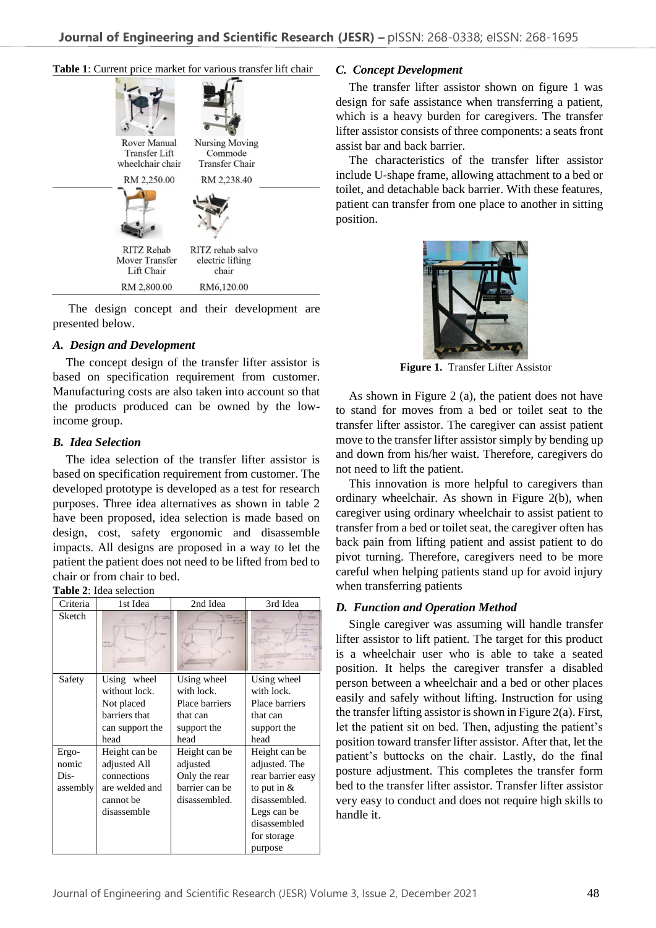

The design concept and their development are presented below.

## *A. Design and Development*

The concept design of the transfer lifter assistor is based on specification requirement from customer. Manufacturing costs are also taken into account so that the products produced can be owned by the lowincome group.

## *B. Idea Selection*

The idea selection of the transfer lifter assistor is based on specification requirement from customer. The developed prototype is developed as a test for research purposes. Three idea alternatives as shown in table 2 have been proposed, idea selection is made based on design, cost, safety ergonomic and disassemble impacts. All designs are proposed in a way to let the patient the patient does not need to be lifted from bed to chair or from chair to bed.

#### **Table 2**: Idea selection

| Criteria                           | 1st Idea                                                                                   | 2nd Idea                                                                       | 3rd Idea                                                                                                                                       |
|------------------------------------|--------------------------------------------------------------------------------------------|--------------------------------------------------------------------------------|------------------------------------------------------------------------------------------------------------------------------------------------|
| Sketch                             |                                                                                            |                                                                                |                                                                                                                                                |
| Safety                             | Using wheel<br>without lock.<br>Not placed<br>barriers that<br>can support the<br>head     | Using wheel<br>with lock.<br>Place barriers<br>that can<br>support the<br>head | Using wheel<br>with lock.<br>Place barriers<br>that can<br>support the<br>head                                                                 |
| Ergo-<br>nomic<br>Dis-<br>assembly | Height can be<br>adjusted All<br>connections<br>are welded and<br>cannot be<br>disassemble | Height can be<br>adjusted<br>Only the rear<br>barrier can be<br>disassembled.  | Height can be<br>adjusted. The<br>rear barrier easy<br>to put in $&$<br>disassembled.<br>Legs can be<br>disassembled<br>for storage<br>purpose |

## *C. Concept Development*

The transfer lifter assistor shown on figure 1 was design for safe assistance when transferring a patient, which is a heavy burden for caregivers. The transfer lifter assistor consists of three components: a seats front assist bar and back barrier.

The characteristics of the transfer lifter assistor include U-shape frame, allowing attachment to a bed or toilet, and detachable back barrier. With these features, patient can transfer from one place to another in sitting position.



**Figure 1.** Transfer Lifter Assistor

As shown in Figure 2 (a), the patient does not have to stand for moves from a bed or toilet seat to the transfer lifter assistor. The caregiver can assist patient move to the transfer lifter assistor simply by bending up and down from his/her waist. Therefore, caregivers do not need to lift the patient.

This innovation is more helpful to caregivers than ordinary wheelchair. As shown in Figure 2(b), when caregiver using ordinary wheelchair to assist patient to transfer from a bed or toilet seat, the caregiver often has back pain from lifting patient and assist patient to do pivot turning. Therefore, caregivers need to be more careful when helping patients stand up for avoid injury when transferring patients

## *D. Function and Operation Method*

Single caregiver was assuming will handle transfer lifter assistor to lift patient. The target for this product is a wheelchair user who is able to take a seated position. It helps the caregiver transfer a disabled person between a wheelchair and a bed or other places easily and safely without lifting. Instruction for using the transfer lifting assistor is shown in Figure 2(a). First, let the patient sit on bed. Then, adjusting the patient's position toward transfer lifter assistor. After that, let the patient's buttocks on the chair. Lastly, do the final posture adjustment. This completes the transfer form bed to the transfer lifter assistor. Transfer lifter assistor very easy to conduct and does not require high skills to handle it.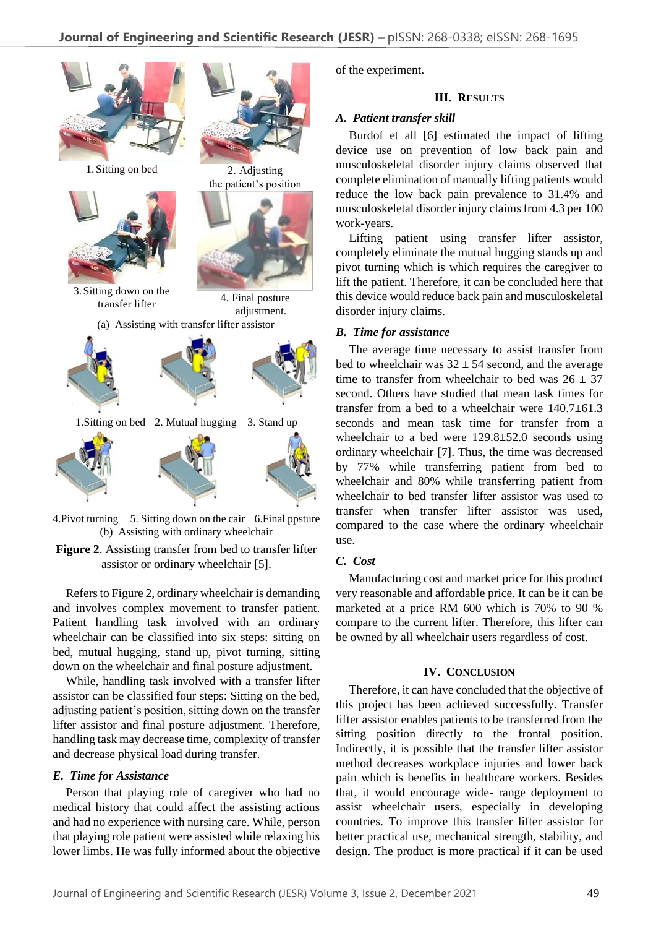

4. Pivot turning 5. Sitting down on the cair 6. Final ppsture (b) Assisting with ordinary wheelchair

**Figure 2**. Assisting transfer from bed to transfer lifter assistor or ordinary wheelchair [5].

Refers to Figure 2, ordinary wheelchair is demanding and involves complex movement to transfer patient. Patient handling task involved with an ordinary wheelchair can be classified into six steps: sitting on bed, mutual hugging, stand up, pivot turning, sitting down on the wheelchair and final posture adjustment.

While, handling task involved with a transfer lifter assistor can be classified four steps: Sitting on the bed, adjusting patient's position, sitting down on the transfer lifter assistor and final posture adjustment. Therefore, handling task may decrease time, complexity of transfer and decrease physical load during transfer.

#### *E. Time for Assistance*

Person that playing role of caregiver who had no medical history that could affect the assisting actions and had no experience with nursing care. While, person that playing role patient were assisted while relaxing his lower limbs. He was fully informed about the objective of the experiment.

### **III. RESULTS**

## *A. Patient transfer skill*

Burdof et all [6] estimated the impact of lifting device use on prevention of low back pain and musculoskeletal disorder injury claims observed that complete elimination of manually lifting patients would reduce the low back pain prevalence to 31.4% and musculoskeletal disorder injury claims from 4.3 per 100 work-years.

Lifting patient using transfer lifter assistor, completely eliminate the mutual hugging stands up and pivot turning which is which requires the caregiver to lift the patient. Therefore, it can be concluded here that this device would reduce back pain and musculoskeletal disorder injury claims.

#### *B. Time for assistance*

The average time necessary to assist transfer from bed to wheelchair was  $32 \pm 54$  second, and the average time to transfer from wheelchair to bed was  $26 \pm 37$ second. Others have studied that mean task times for transfer from a bed to a wheelchair were  $140.7\pm61.3$ seconds and mean task time for transfer from a wheelchair to a bed were 129.8±52.0 seconds using ordinary wheelchair [7]. Thus, the time was decreased by 77% while transferring patient from bed to wheelchair and 80% while transferring patient from wheelchair to bed transfer lifter assistor was used to transfer when transfer lifter assistor was used, compared to the case where the ordinary wheelchair use.

## *C. Cost*

Manufacturing cost and market price for this product very reasonable and affordable price. It can be it can be marketed at a price RM 600 which is 70% to 90 % compare to the current lifter. Therefore, this lifter can be owned by all wheelchair users regardless of cost.

## **IV. CONCLUSION**

Therefore, it can have concluded that the objective of this project has been achieved successfully. Transfer lifter assistor enables patients to be transferred from the sitting position directly to the frontal position. Indirectly, it is possible that the transfer lifter assistor method decreases workplace injuries and lower back pain which is benefits in healthcare workers. Besides that, it would encourage wide- range deployment to assist wheelchair users, especially in developing countries. To improve this transfer lifter assistor for better practical use, mechanical strength, stability, and design. The product is more practical if it can be used